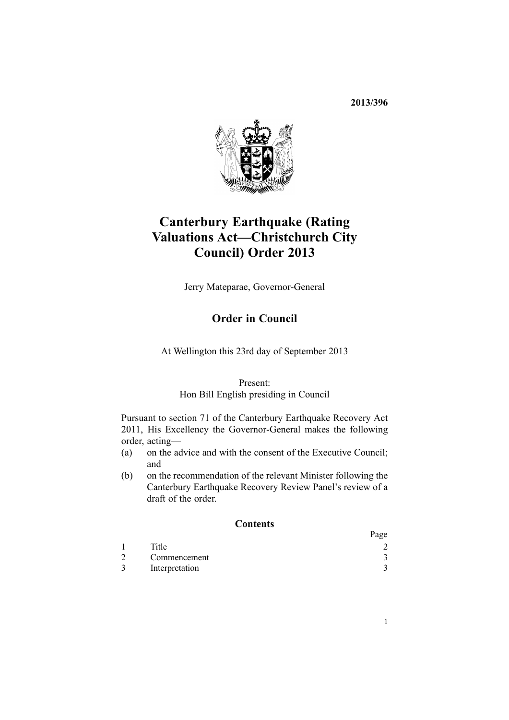**2013/396**



# **Canterbury Earthquake (Rating Valuations Act—Christchurch City Council) Order 2013**

Jerry Mateparae, Governor-General

# **Order in Council**

At Wellington this 23rd day of September 2013

#### Present:

#### Hon Bill English presiding in Council

Pursuant to [section](http://www.legislation.govt.nz/pdflink.aspx?id=DLM3570826) 71 of the Canterbury Earthquake Recovery Act 2011, His Excellency the Governor-General makes the following order, acting—

- (a) on the advice and with the consent of the Executive Council; and
- (b) on the recommendation of the relevant Minister following the Canterbury Earthquake Recovery Review Panel's review of <sup>a</sup> draft of the order.

#### **Contents**

|                | Page |
|----------------|------|
| Title          |      |
| Commencement   |      |
| Interpretation |      |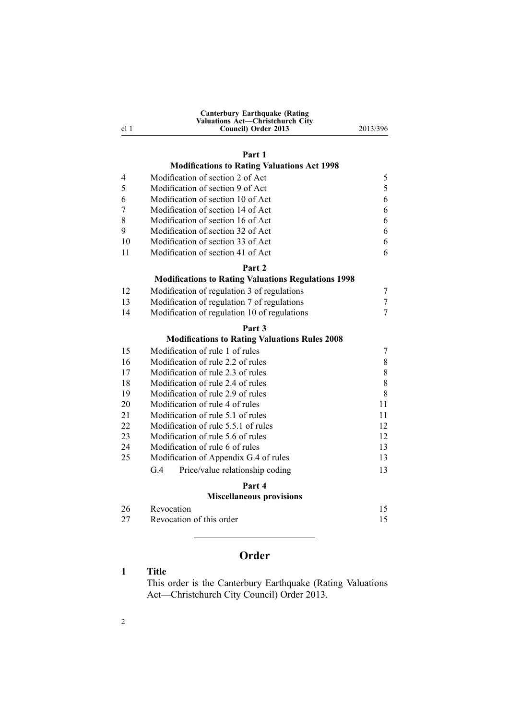| <b>Canterbury Earthquake (Rating)</b><br><b>Valuations Act-Christchurch City</b> |          |
|----------------------------------------------------------------------------------|----------|
| Council) Order 2013                                                              | 2013/396 |
|                                                                                  |          |

### **[Part](#page-4-0) 1**

# **[Modifications](#page-4-0) to Rating Valuations Act 1998**

| 4  | Modification of section 2 of Act                           | 5  |
|----|------------------------------------------------------------|----|
| 5  | Modification of section 9 of Act                           | 5  |
| 6  | Modification of section 10 of Act                          | 6  |
| 7  | Modification of section 14 of Act                          | 6  |
| 8  | Modification of section 16 of Act                          | 6  |
| 9  | Modification of section 32 of Act                          | 6  |
| 10 | Modification of section 33 of Act                          | 6  |
| 11 | Modification of section 41 of Act                          | 6  |
|    | Part 2                                                     |    |
|    | <b>Modifications to Rating Valuations Regulations 1998</b> |    |
| 12 | Modification of regulation 3 of regulations                | 7  |
| 13 | Modification of regulation 7 of regulations                | 7  |
| 14 | Modification of regulation 10 of regulations               | 7  |
|    | Part 3                                                     |    |
|    | <b>Modifications to Rating Valuations Rules 2008</b>       |    |
| 15 | Modification of rule 1 of rules                            | 7  |
| 16 | Modification of rule 2.2 of rules                          | 8  |
| 17 | Modification of rule 2.3 of rules                          | 8  |
| 18 | Modification of rule 2.4 of rules                          | 8  |
| 19 | Modification of rule 2.9 of rules                          | 8  |
| 20 | Modification of rule 4 of rules                            | 11 |
| 21 | Modification of rule 5.1 of rules                          | 11 |
| 22 | Modification of rule 5.5.1 of rules                        | 12 |
| 23 | Modification of rule 5.6 of rules                          | 12 |
| 24 | Modification of rule 6 of rules                            | 13 |
| 25 | Modification of Appendix G.4 of rules                      | 13 |
|    | G.4<br>Price/value relationship coding                     | 13 |
|    | Part 4                                                     |    |
|    | <b>Miscellaneous provisions</b>                            |    |
| 26 | Revocation                                                 | 15 |
| 27 | Revocation of this order                                   | 15 |

# **Order**

## **1 Title**

<span id="page-1-0"></span>cl 1

This order is the Canterbury Earthquake (Rating Valuations Act—Christchurch City Council) Order 2013.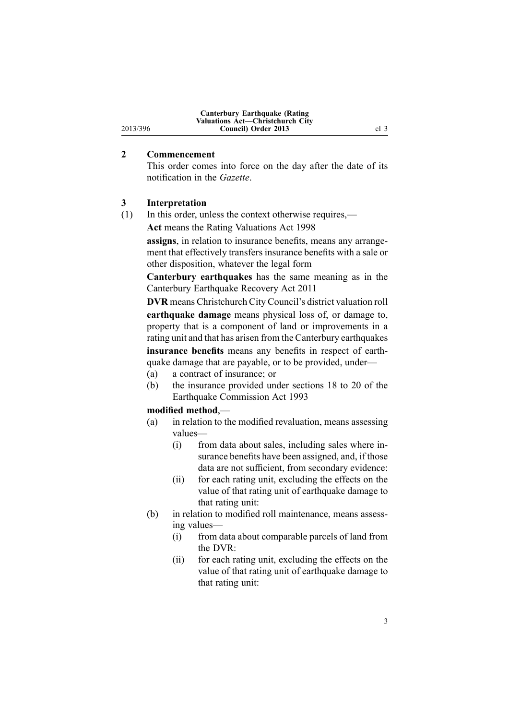#### **2 Commencement**

<span id="page-2-0"></span>2013/396

This order comes into force on the day after the date of its notification in the *Gazette*.

### **3 Interpretation**

(1) In this order, unless the context otherwise requires,—

**Act** means the Rating [Valuations](http://www.legislation.govt.nz/pdflink.aspx?id=DLM427296) Act 1998

**assigns**, in relation to insurance benefits, means any arrangement that effectively transfers insurance benefits with <sup>a</sup> sale or other disposition, whatever the legal form

**Canterbury earthquakes** has the same meaning as in the Canterbury [Earthquake](http://www.legislation.govt.nz/pdflink.aspx?id=DLM3653503) Recovery Act 2011

**DVR** means Christchurch City Council's district valuation roll **earthquake damage** means physical loss of, or damage to, property that is <sup>a</sup> componen<sup>t</sup> of land or improvements in <sup>a</sup> rating unit and that has arisen from the Canterbury earthquakes **insurance benefits** means any benefits in respec<sup>t</sup> of earthquake damage that are payable, or to be provided, under—

- (a) <sup>a</sup> contract of insurance; or
- (b) the insurance provided under [sections](http://www.legislation.govt.nz/pdflink.aspx?id=DLM306761) 18 to 20 of the Earthquake Commission Act 1993

#### **modified method**,—

- (a) in relation to the modified revaluation, means assessing values—
	- (i) from data about sales, including sales where insurance benefits have been assigned, and, if those data are not sufficient, from secondary evidence:
	- (ii) for each rating unit, excluding the effects on the value of that rating unit of earthquake damage to that rating unit:
- (b) in relation to modified roll maintenance, means assessing values—
	- (i) from data about comparable parcels of land from the DVR:
	- (ii) for each rating unit, excluding the effects on the value of that rating unit of earthquake damage to that rating unit: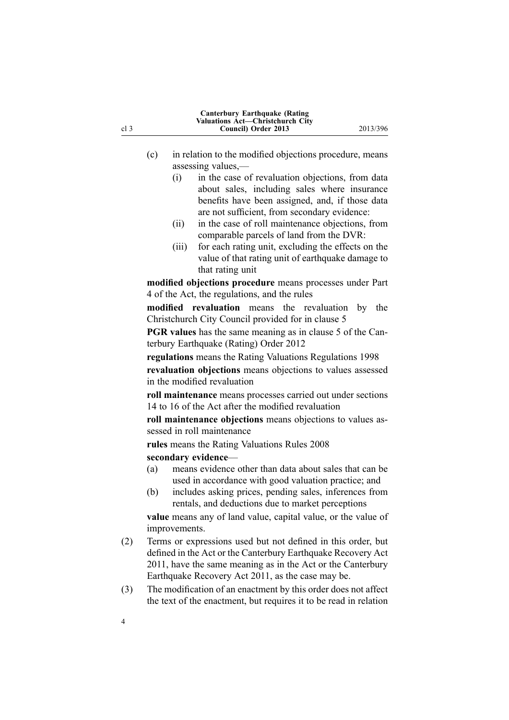| cl 3 |     | Council) Order 2013                                                                      | 2013/396 |
|------|-----|------------------------------------------------------------------------------------------|----------|
|      |     |                                                                                          |          |
|      | (c) | in relation to the modified objections procedure, means<br>assessing values,-            |          |
|      |     | in the case of revaluation objections, from data<br>(i)                                  |          |
|      |     | about sales, including sales where insurance                                             |          |
|      |     | benefits have been assigned, and, if those data                                          |          |
|      |     | are not sufficient, from secondary evidence:                                             |          |
|      |     | in the case of roll maintenance objections, from<br>(ii)                                 |          |
|      |     | comparable parcels of land from the DVR:                                                 |          |
|      |     | for each rating unit, excluding the effects on the<br>(iii)                              |          |
|      |     | value of that rating unit of earthquake damage to                                        |          |
|      |     | that rating unit                                                                         |          |
|      |     | modified objections procedure means processes under Part                                 |          |
|      |     | 4 of the Act, the regulations, and the rules                                             |          |
|      |     | modified revaluation means the<br>revaluation                                            | by the   |
|      |     | Christchurch City Council provided for in clause 5                                       |          |
|      |     | <b>PGR</b> values has the same meaning as in clause 5 of the Can-                        |          |
|      |     | terbury Earthquake (Rating) Order 2012                                                   |          |
|      |     | regulations means the Rating Valuations Regulations 1998                                 |          |
|      |     | revaluation objections means objections to values assessed                               |          |
|      |     | in the modified revaluation                                                              |          |
|      |     | roll maintenance means processes carried out under sections                              |          |
|      |     | 14 to 16 of the Act after the modified revaluation                                       |          |
|      |     | roll maintenance objections means objections to values as-<br>sessed in roll maintenance |          |
|      |     | rules means the Rating Valuations Rules 2008                                             |          |
|      |     | secondary evidence-                                                                      |          |
|      | (a) | means evidence other than data about sales that can be                                   |          |
|      |     | used in accordance with good valuation practice; and                                     |          |
|      | (b) | includes asking prices, pending sales, inferences from                                   |          |
|      |     | rentals, and deductions due to market perceptions                                        |          |
|      |     | <b>value</b> means any of land value, capital value, or the value of                     |          |
|      |     | improvements.                                                                            |          |
| (2)  |     | Terms or expressions used but not defined in this order, but                             |          |
|      |     | defined in the Act or the Canterbury Earthquake Recovery Act                             |          |
|      |     | 2011, have the same meaning as in the Act or the Canterbury                              |          |
|      |     | Earthquake Recovery Act 2011, as the case may be.                                        |          |
| (3)  |     | The modification of an enactment by this order does not affect                           |          |
|      |     | the text of the enactment, but requires it to be read in relation                        |          |

**Canterbury Earthquake (Rating Valuations Act—Christchurch City**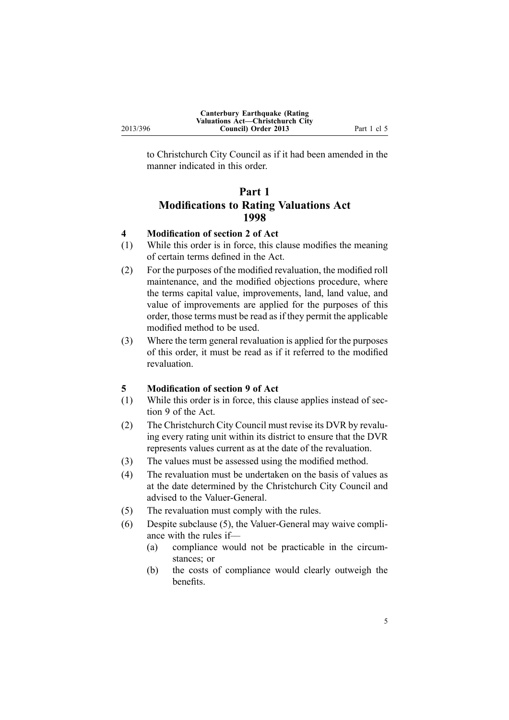<span id="page-4-0"></span>to Christchurch City Council as if it had been amended in the manner indicated in this order.

# **Part 1 Modifications to Rating Valuations Act 1998**

#### **4 Modification of section 2 of Act**

- (1) While this order is in force, this clause modifies the meaning of certain terms defined in the Act.
- (2) For the purposes of the modified revaluation, the modified roll maintenance, and the modified objections procedure, where the terms capital value, improvements, land, land value, and value of improvements are applied for the purposes of this order, those terms must be read as if they permit the applicable modified method to be used.
- (3) Where the term general revaluation is applied for the purposes of this order, it must be read as if it referred to the modified revaluation.

#### **5 Modification of section 9 of Act**

- (1) While this order is in force, this clause applies instead of [sec](http://www.legislation.govt.nz/pdflink.aspx?id=DLM427613)[tion](http://www.legislation.govt.nz/pdflink.aspx?id=DLM427613) 9 of the Act.
- (2) The Christchurch City Council must revise its DVR by revaluing every rating unit within its district to ensure that the DVR represents values current as at the date of the revaluation.
- (3) The values must be assessed using the modified method.
- (4) The revaluation must be undertaken on the basis of values as at the date determined by the Christchurch City Council and advised to the Valuer-General.
- (5) The revaluation must comply with the rules.
- (6) Despite subclause (5), the Valuer-General may waive compliance with the rules if—
	- (a) compliance would not be practicable in the circumstances; or
	- (b) the costs of compliance would clearly outweigh the benefits.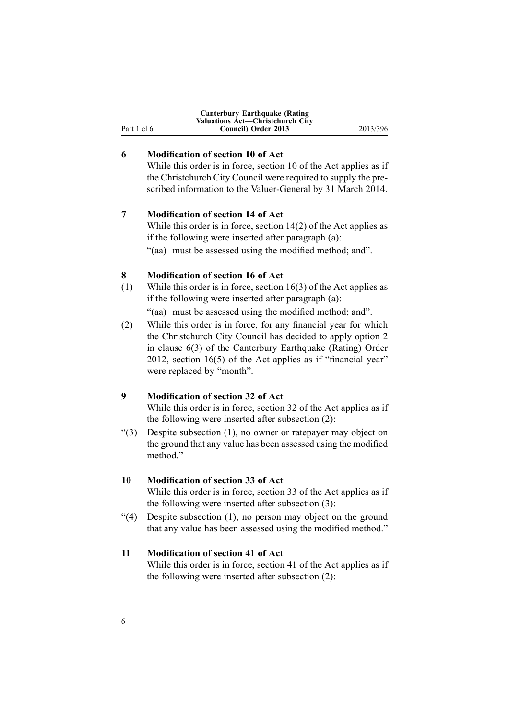<span id="page-5-0"></span>

|             | <b>Canterbury Earthquake (Rating)</b><br>Valuations Act—Christchurch City |          |
|-------------|---------------------------------------------------------------------------|----------|
| Part 1 cl 6 | Council) Order 2013                                                       | 2013/396 |

# **6 Modification of section 10 of Act**

While this order is in force, [section](http://www.legislation.govt.nz/pdflink.aspx?id=DLM427615) 10 of the Act applies as if the Christchurch City Council were required to supply the prescribed information to the Valuer-General by 31 March 2014.

### **7 Modification of section 14 of Act**

While this order is in force, [section](http://www.legislation.govt.nz/pdflink.aspx?id=DLM427624) 14(2) of the Act applies as if the following were inserted after paragraph (a):

"(aa) must be assessed using the modified method; and".

#### **8 Modification of section 16 of Act**

(1) While this order is in force, [section](http://www.legislation.govt.nz/pdflink.aspx?id=DLM427631) 16(3) of the Act applies as if the following were inserted after paragraph (a):

"(aa) must be assessed using the modified method; and".

(2) While this order is in force, for any financial year for which the Christchurch City Council has decided to apply option 2 in [clause](http://www.legislation.govt.nz/pdflink.aspx?id=DLM4502926) 6(3) of the Canterbury Earthquake (Rating) Order 2012, [section](http://www.legislation.govt.nz/pdflink.aspx?id=DLM427631) 16(5) of the Act applies as if "financial year" were replaced by "month".

#### **9 Modification of section 32 of Act**

While this order is in force, [section](http://www.legislation.govt.nz/pdflink.aspx?id=DLM427670) 32 of the Act applies as if the following were inserted after subsection (2):

"(3) Despite subsection (1), no owner or ratepayer may object on the ground that any value has been assessed using the modified method<sup>"</sup>

### **10 Modification of section 33 of Act**

While this order is in force, [section](http://www.legislation.govt.nz/pdflink.aspx?id=DLM427673) 33 of the Act applies as if the following were inserted after subsection (3):

"(4) Despite subsection (1), no person may object on the ground that any value has been assessed using the modified method."

### **11 Modification of section 41 of Act**

While this order is in force, [section](http://www.legislation.govt.nz/pdflink.aspx?id=DLM427692) 41 of the Act applies as if the following were inserted after subsection (2):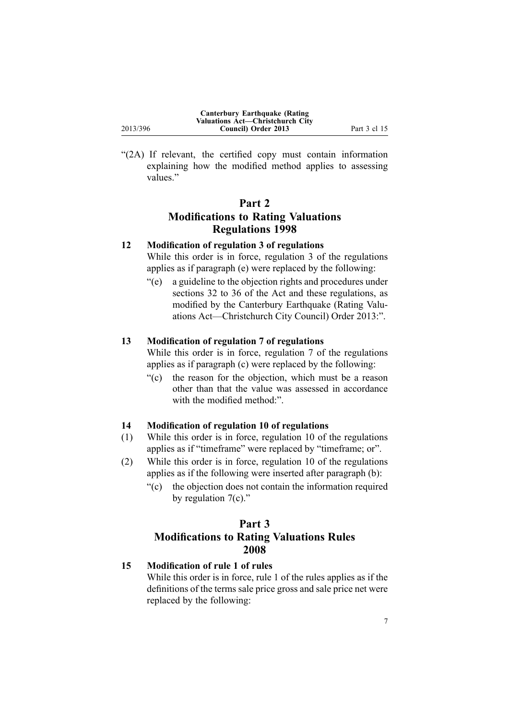<span id="page-6-0"></span>

| 2013/396 | Canterbury Earthquake (Rating)<br>Valuations Act-Christchurch City<br>Council) Order 2013 | Part 3 cl 15 |
|----------|-------------------------------------------------------------------------------------------|--------------|
|          |                                                                                           |              |

"(2A) If relevant, the certified copy must contain information explaining how the modified method applies to assessing values."

# **Part 2 Modifications to Rating Valuations Regulations 1998**

# **12 Modification of regulation 3 of regulations**

While this order is in force, regu[lation](http://www.legislation.govt.nz/pdflink.aspx?id=DLM251949) 3 of the regulations applies as if paragraph (e) were replaced by the following:

"(e) <sup>a</sup> guideline to the objection rights and procedures under sections 32 to 36 of the Act and these regulations, as modified by the Canterbury Earthquake (Rating Valuations Act—Christchurch City Council) Order 2013:".

#### **13 Modification of regulation 7 of regulations**

While this order is in force, regu[lation](http://www.legislation.govt.nz/pdflink.aspx?id=DLM251956) 7 of the regulations applies as if paragraph (c) were replaced by the following:

"(c) the reason for the objection, which must be <sup>a</sup> reason other than that the value was assessed in accordance with the modified method."

# **14 Modification of regulation 10 of regulations**

- (1) While this order is in force, regu[lation](http://www.legislation.govt.nz/pdflink.aspx?id=DLM251964) 10 of the regulations applies as if "timeframe" were replaced by "timeframe; or".
- (2) While this order is in force, regu[lation](http://www.legislation.govt.nz/pdflink.aspx?id=DLM251964) 10 of the regulations applies as if the following were inserted after paragraph (b):
	- "(c) the objection does not contain the information required by regulation 7(c)."

# **Part 3 Modifications to Rating Valuations Rules 2008**

#### **15 Modification of rule 1 of rules**

While this order is in force, rule 1 of the rules applies as if the definitions of the terms sale price gross and sale price net were replaced by the following: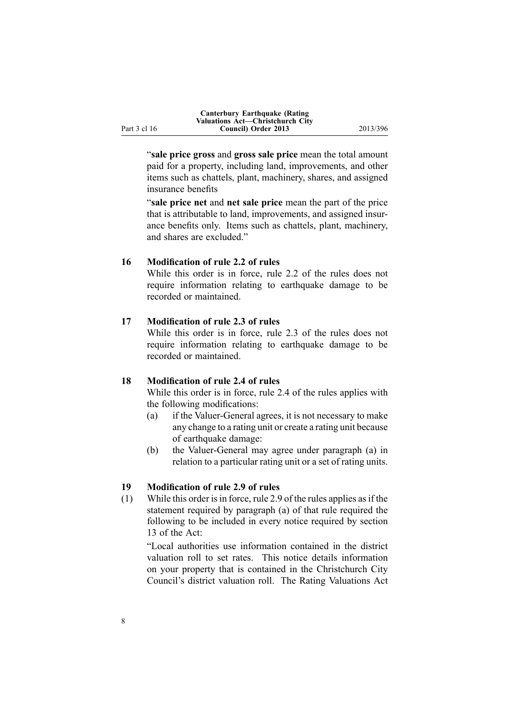<span id="page-7-0"></span>

|              | Canterbury Earthquake (Rating           |          |
|--------------|-----------------------------------------|----------|
|              | <b>Valuations Act—Christchurch City</b> |          |
| Part 3 cl 16 | Council) Order 2013                     | 2013/396 |

"**sale price gross** and **gross sale price** mean the total amount paid for <sup>a</sup> property, including land, improvements, and other items such as chattels, plant, machinery, shares, and assigned insurance benefits

"**sale price net** and **net sale price** mean the par<sup>t</sup> of the price that is attributable to land, improvements, and assigned insurance benefits only. Items such as chattels, plant, machinery, and shares are excluded."

#### **16 Modification of rule 2.2 of rules**

While this order is in force, rule 2.2 of the rules does not require information relating to earthquake damage to be recorded or maintained.

#### **17 Modification of rule 2.3 of rules**

While this order is in force, rule 2.3 of the rules does not require information relating to earthquake damage to be recorded or maintained.

#### **18 Modification of rule 2.4 of rules**

While this order is in force, rule 2.4 of the rules applies with the following modifications:

- (a) if the Valuer-General agrees, it is not necessary to make any change to <sup>a</sup> rating unit or create <sup>a</sup> rating unit because of earthquake damage:
- (b) the Valuer-General may agree under paragraph (a) in relation to <sup>a</sup> particular rating unit or <sup>a</sup> set of rating units.

#### **19 Modification of rule 2.9 of rules**

(1) While this order is in force, rule 2.9 of the rules applies as if the statement required by paragraph (a) of that rule required the following to be included in every notice required by section 13 of the Act:

"Local authorities use information contained in the district valuation roll to set rates. This notice details information on your property that is contained in the Christchurch City Council's district valuation roll. The Rating Valuations Act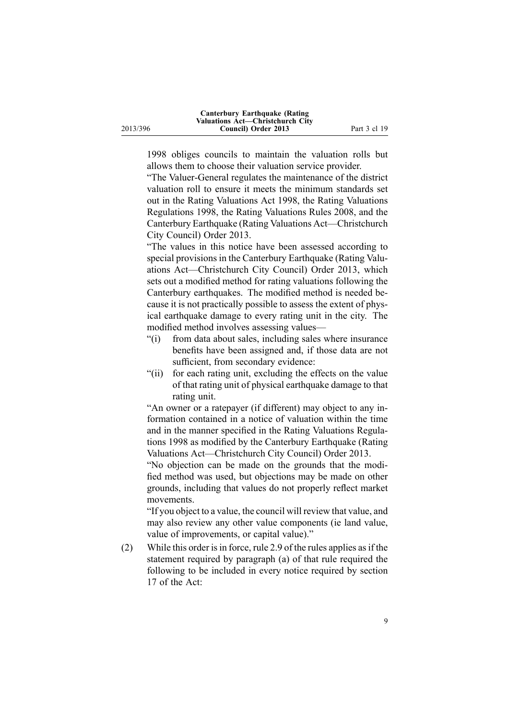1998 obliges councils to maintain the valuation rolls but allows them to choose their valuation service provider.

"The Valuer-General regulates the maintenance of the district valuation roll to ensure it meets the minimum standards set out in the Rating Valuations Act 1998, the Rating Valuations Regulations 1998, the Rating Valuations Rules 2008, and the Canterbury Earthquake (Rating Valuations Act—Christchurch City Council) Order 2013.

"The values in this notice have been assessed according to special provisions in the Canterbury Earthquake (Rating Valuations Act—Christchurch City Council) Order 2013, which sets out <sup>a</sup> modified method for rating valuations following the Canterbury earthquakes. The modified method is needed because it is not practically possible to assess the extent of physical earthquake damage to every rating unit in the city. The modified method involves assessing values—

- "(i) from data about sales, including sales where insurance benefits have been assigned and, if those data are not sufficient, from secondary evidence:
- "(ii) for each rating unit, excluding the effects on the value of that rating unit of physical earthquake damage to that rating unit.

"An owner or <sup>a</sup> ratepayer (if different) may object to any information contained in <sup>a</sup> notice of valuation within the time and in the manner specified in the Rating Valuations Regulations 1998 as modified by the Canterbury Earthquake (Rating Valuations Act—Christchurch City Council) Order 2013.

"No objection can be made on the grounds that the modified method was used, but objections may be made on other grounds, including that values do not properly reflect market movements.

"If you object to <sup>a</sup> value, the council will review that value, and may also review any other value components (ie land value, value of improvements, or capital value)."

(2) While this order isin force, rule 2.9 of the rules applies asif the statement required by paragraph (a) of that rule required the following to be included in every notice required by section 17 of the Act: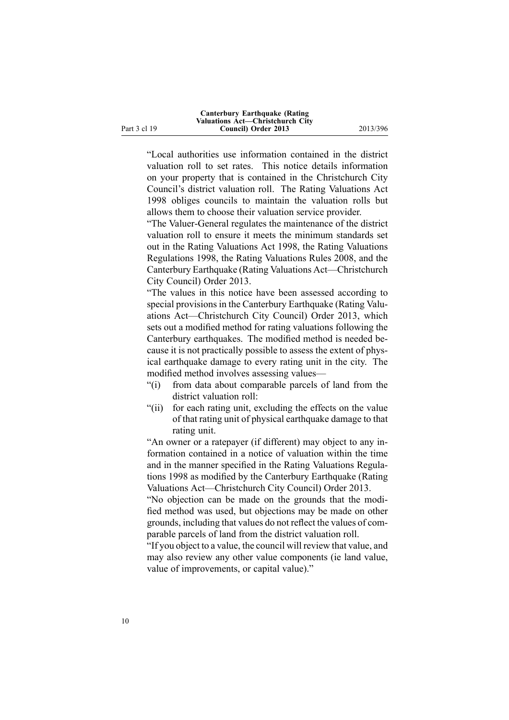"Local authorities use information contained in the district valuation roll to set rates. This notice details information on your property that is contained in the Christchurch City Council's district valuation roll. The Rating Valuations Act 1998 obliges councils to maintain the valuation rolls but allows them to choose their valuation service provider.

"The Valuer-General regulates the maintenance of the district valuation roll to ensure it meets the minimum standards set out in the Rating Valuations Act 1998, the Rating Valuations Regulations 1998, the Rating Valuations Rules 2008, and the Canterbury Earthquake (Rating Valuations Act—Christchurch City Council) Order 2013.

"The values in this notice have been assessed according to special provisions in the Canterbury Earthquake (Rating Valuations Act—Christchurch City Council) Order 2013, which sets out <sup>a</sup> modified method for rating valuations following the Canterbury earthquakes. The modified method is needed because it is not practically possible to assess the extent of physical earthquake damage to every rating unit in the city. The modified method involves assessing values—

- "(i) from data about comparable parcels of land from the district valuation roll:
- "(ii) for each rating unit, excluding the effects on the value of that rating unit of physical earthquake damage to that rating unit.

"An owner or <sup>a</sup> ratepayer (if different) may object to any information contained in <sup>a</sup> notice of valuation within the time and in the manner specified in the Rating Valuations Regulations 1998 as modified by the Canterbury Earthquake (Rating Valuations Act—Christchurch City Council) Order 2013.

"No objection can be made on the grounds that the modified method was used, but objections may be made on other grounds, including that values do not reflect the values of comparable parcels of land from the district valuation roll.

"If you object to <sup>a</sup> value, the council will review that value, and may also review any other value components (ie land value, value of improvements, or capital value)."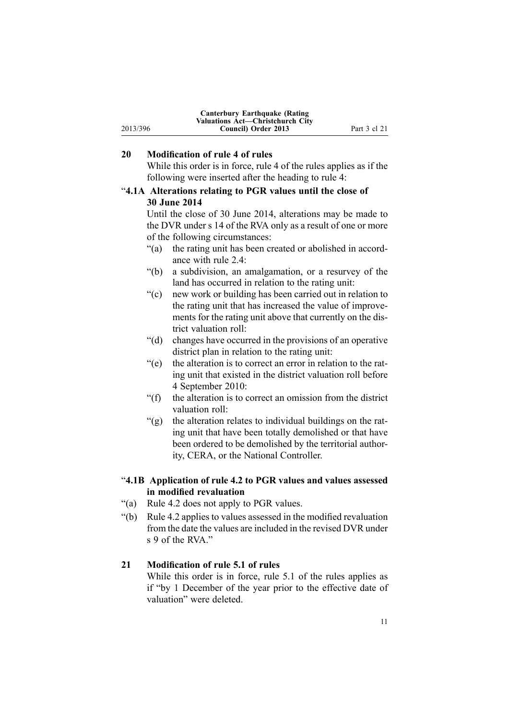<span id="page-10-0"></span>

|          | <b>Canterbury Earthquake (Rating)</b> |              |
|----------|---------------------------------------|--------------|
|          | Valuations Act—Christchurch City      |              |
| 2013/396 | Council) Order 2013                   | Part 3 cl 21 |

# **20 Modification of rule 4 of rules**

While this order is in force, rule 4 of the rules applies as if the following were inserted after the heading to rule 4:

# "**4.1A Alterations relating to PGR values until the close of 30 June 2014**

Until the close of 30 June 2014, alterations may be made to the DVR under <sup>s</sup> 14 of the RVA only as <sup>a</sup> result of one or more of the following circumstances:

- "(a) the rating unit has been created or abolished in accordance with rule 2.4:
- "(b) <sup>a</sup> subdivision, an amalgamation, or <sup>a</sup> resurvey of the land has occurred in relation to the rating unit:
- "(c) new work or building has been carried out in relation to the rating unit that has increased the value of improvements for the rating unit above that currently on the district valuation roll:
- "(d) changes have occurred in the provisions of an operative district plan in relation to the rating unit:
- "(e) the alteration is to correct an error in relation to the rating unit that existed in the district valuation roll before 4 September 2010:
- "(f) the alteration is to correct an omission from the district valuation roll:
- "(g) the alteration relates to individual buildings on the rating unit that have been totally demolished or that have been ordered to be demolished by the territorial authority, CERA, or the National Controller.

#### "**4.1B Application of rule 4.2 to PGR values and values assessed in modified revaluation**

- "(a) Rule 4.2 does not apply to PGR values.
- "(b) Rule 4.2 applies to values assessed in the modified revaluation from the date the values are included in the revised DVR under s 9 of the RVA."

#### **21 Modification of rule 5.1 of rules**

While this order is in force, rule 5.1 of the rules applies as if "by 1 December of the year prior to the effective date of valuation" were deleted.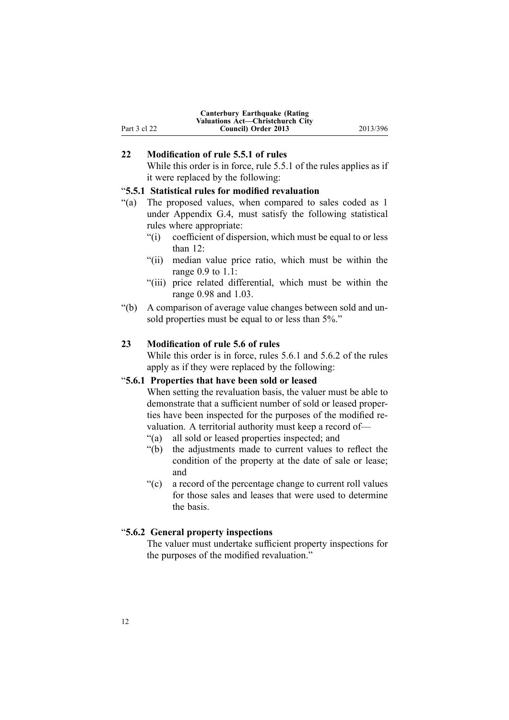<span id="page-11-0"></span>

|              | <b>Canterbury Earthquake (Rating)</b><br><b>Valuations Act—Christchurch City</b> |          |
|--------------|----------------------------------------------------------------------------------|----------|
| Part 3 cl 22 | Council) Order 2013                                                              | 2013/396 |

### **22 Modification of rule 5.5.1 of rules**

While this order is in force, rule 5.5.1 of the rules applies as if it were replaced by the following:

### "**5.5.1 Statistical rules for modified revaluation**

- "(a) The proposed values, when compared to sales coded as 1 under Appendix G.4, must satisfy the following statistical rules where appropriate:
	- "(i) coefficient of dispersion, which must be equal to or less than 12:
	- "(ii) median value price ratio, which must be within the range 0.9 to 1.1:
	- "(iii) price related differential, which must be within the range 0.98 and 1.03.
- "(b) A comparison of average value changes between sold and unsold properties must be equal to or less than 5%."

#### **23 Modification of rule 5.6 of rules**

While this order is in force, rules 5.6.1 and 5.6.2 of the rules apply as if they were replaced by the following:

#### "**5.6.1 Properties that have been sold or leased**

When setting the revaluation basis, the valuer must be able to demonstrate that <sup>a</sup> sufficient number of sold or leased properties have been inspected for the purposes of the modified revaluation. A territorial authority must keep <sup>a</sup> record of—

- "(a) all sold or leased properties inspected; and
- "(b) the adjustments made to current values to reflect the condition of the property at the date of sale or lease; and
- "(c) <sup>a</sup> record of the percentage change to current roll values for those sales and leases that were used to determine the basis.

#### "**5.6.2 General property inspections**

The valuer must undertake sufficient property inspections for the purposes of the modified revaluation."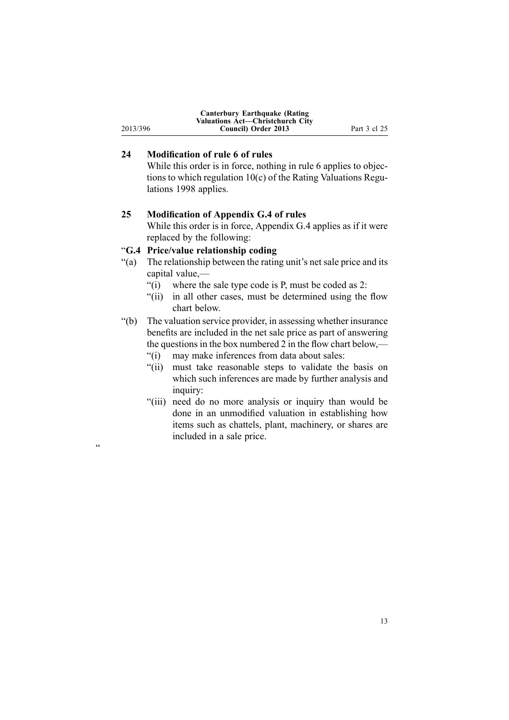<span id="page-12-0"></span>

|          | <b>Canterbury Earthquake (Rating)</b>   |              |
|----------|-----------------------------------------|--------------|
|          | <b>Valuations Act—Christchurch City</b> |              |
| 2013/396 | Council) Order 2013                     | Part 3 cl 25 |

# **24 Modification of rule 6 of rules**

While this order is in force, nothing in rule 6 applies to objections to which regulation 10(c) of the Rating Valuations Regulations 1998 applies.

#### **25 Modification of Appendix G.4 of rules**

While this order is in force, Appendix G.4 applies as if it were replaced by the following:

## "**G.4 Price/value relationship coding**

"

- "(a) The relationship between the rating unit's net sale price and its capital value,—
	- "(i) where the sale type code is P, must be coded as 2:
	- "(ii) in all other cases, must be determined using the flow chart below.
- "(b) The valuation service provider, in assessing whether insurance benefits are included in the net sale price as par<sup>t</sup> of answering the questions in the box numbered 2 in the flow chart below,—
	- "(i) may make inferences from data about sales:
	- "(ii) must take reasonable steps to validate the basis on which such inferences are made by further analysis and inquiry:
	- "(iii) need do no more analysis or inquiry than would be done in an unmodified valuation in establishing how items such as chattels, plant, machinery, or shares are included in <sup>a</sup> sale price.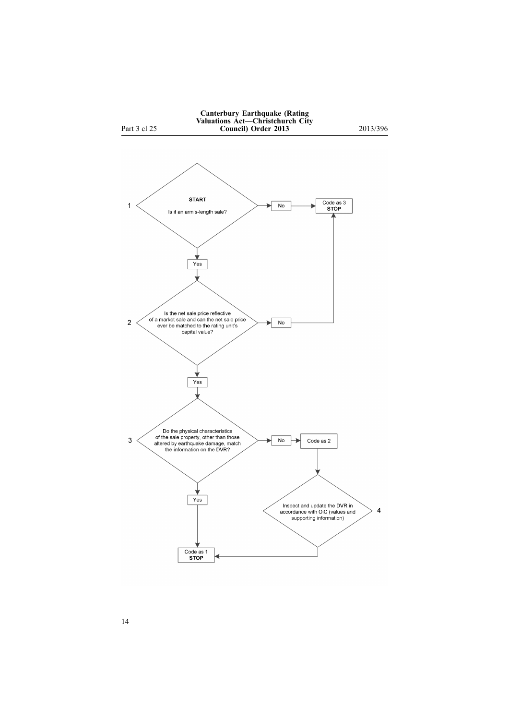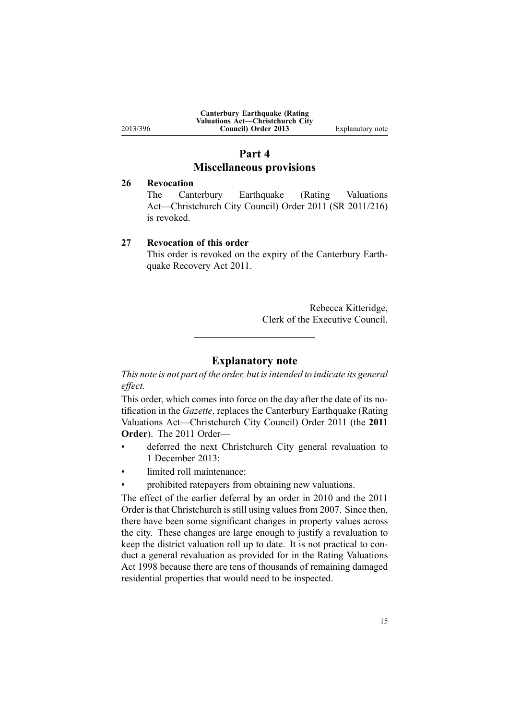<span id="page-14-0"></span>

|          | <b>Canterbury Earthquake (Rating)</b><br><b>Valuations Act—Christchurch City</b> |                  |
|----------|----------------------------------------------------------------------------------|------------------|
| 2013/396 | Council) Order 2013                                                              | Explanatory note |

# **Part 4 Miscellaneous provisions**

### **26 Revocation**

The Canterbury [Earthquake](http://www.legislation.govt.nz/pdflink.aspx?id=DLM3824300) (Rating Valuations [Act—Christchurch](http://www.legislation.govt.nz/pdflink.aspx?id=DLM3824300) City Council) Order 2011 (SR 2011/216) is revoked.

#### **27 Revocation of this order**

This order is revoked on the expiry of the [Canterbury](http://www.legislation.govt.nz/pdflink.aspx?id=DLM3653503) Earthquake [Recovery](http://www.legislation.govt.nz/pdflink.aspx?id=DLM3653503) Act 2011.

> Rebecca Kitteridge, Clerk of the Executive Council.

# **Explanatory note**

*This note is not par<sup>t</sup> of the order, but isintended to indicate its general effect.*

This order, which comes into force on the day after the date of its notification in the *Gazette*, replaces the Canterbury [Earthquake](http://www.legislation.govt.nz/pdflink.aspx?id=DLM3824300) (Rating Valuations [Act—Christchurch](http://www.legislation.govt.nz/pdflink.aspx?id=DLM3824300) City Council) Order 2011 (the **2011 Order**). The 2011 Order—

- • deferred the next Christchurch City general revaluation to 1 December 2013:
- •limited roll maintenance:
- •prohibited ratepayers from obtaining new valuations.

The effect of the earlier deferral by an order in 2010 and the 2011 Order is that Christchurch is still using values from 2007. Since then, there have been some significant changes in property values across the city. These changes are large enough to justify <sup>a</sup> revaluation to keep the district valuation roll up to date. It is not practical to conduct <sup>a</sup> general revaluation as provided for in the Rating Valuations Act 1998 because there are tens of thousands of remaining damaged residential properties that would need to be inspected.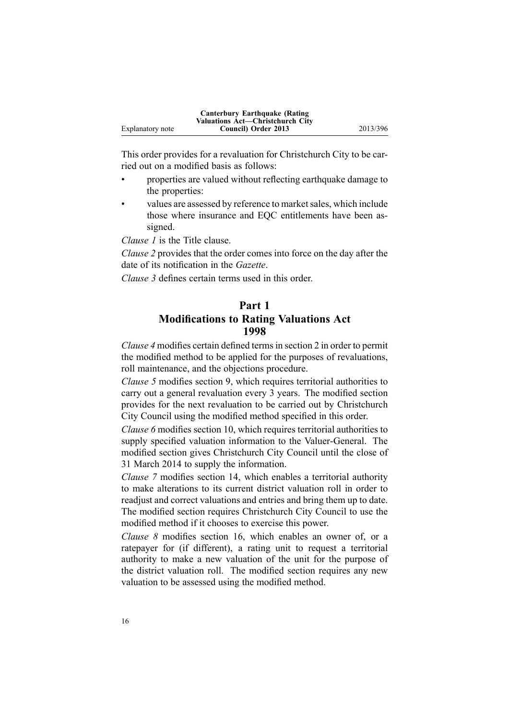|                  | Canterbury Earthquake (Rating)<br><b>Valuations Act—Christchurch City</b> |          |
|------------------|---------------------------------------------------------------------------|----------|
| Explanatory note | Council) Order 2013                                                       | 2013/396 |

This order provides for <sup>a</sup> revaluation for Christchurch City to be carried out on <sup>a</sup> modified basis as follows:

- • properties are valued without reflecting earthquake damage to the properties:
- •values are assessed by reference to market sales, which include those where insurance and EQC entitlements have been assigned.

*[Clause](#page-1-0) 1* is the Title clause.

*[Clause](#page-2-0) 2* provides that the order comes into force on the day after the date of its notification in the *Gazette*.

*[Clause](#page-2-0) 3* defines certain terms used in this order.

# **Part 1 Modifications to Rating Valuations Act 1998**

*[Clause](#page-4-0) 4* modifies certain defined termsin [section](http://www.legislation.govt.nz/pdflink.aspx?id=DLM427402) 2 in order to permit the modified method to be applied for the purposes of revaluations, roll maintenance, and the objections procedure.

*[Clause](#page-4-0) 5* modifies [section](http://www.legislation.govt.nz/pdflink.aspx?id=DLM427613) 9, which requires territorial authorities to carry out <sup>a</sup> general revaluation every 3 years. The modified section provides for the next revaluation to be carried out by Christchurch City Council using the modified method specified in this order.

*[Clause](#page-5-0) 6* modifies [section](http://www.legislation.govt.nz/pdflink.aspx?id=DLM427615) 10, which requires territorial authorities to supply specified valuation information to the Valuer-General. The modified section gives Christchurch City Council until the close of 31 March 2014 to supply the information.

*[Clause](#page-5-0) 7* modifies [section](http://www.legislation.govt.nz/pdflink.aspx?id=DLM427624) 14, which enables <sup>a</sup> territorial authority to make alterations to its current district valuation roll in order to readjust and correct valuations and entries and bring them up to date. The modified section requires Christchurch City Council to use the modified method if it chooses to exercise this power.

*[Clause](#page-5-0) 8* modifies [section](http://www.legislation.govt.nz/pdflink.aspx?id=DLM427631) 16, which enables an owner of, or <sup>a</sup> ratepayer for (if different), <sup>a</sup> rating unit to reques<sup>t</sup> <sup>a</sup> territorial authority to make <sup>a</sup> new valuation of the unit for the purpose of the district valuation roll. The modified section requires any new valuation to be assessed using the modified method.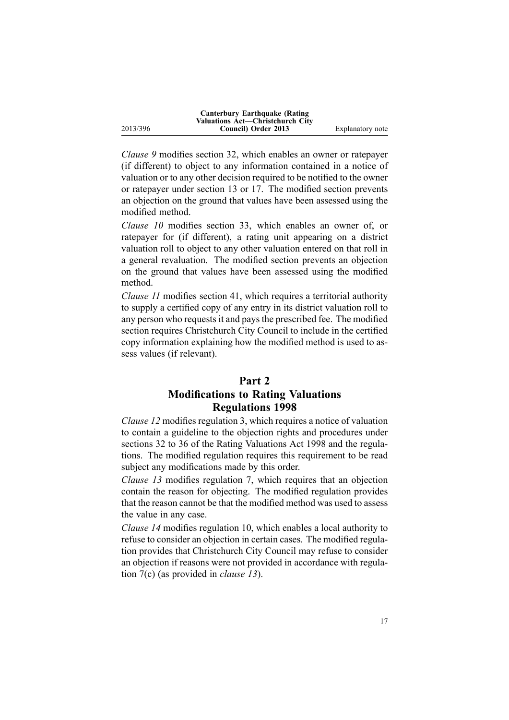|          | <b>Canterbury Earthquake (Rating)</b><br>Valuations Act—Christchurch City |                  |
|----------|---------------------------------------------------------------------------|------------------|
| 2013/396 | Council) Order 2013                                                       | Explanatory note |

*[Clause](#page-5-0) 9* modifies [section](http://www.legislation.govt.nz/pdflink.aspx?id=DLM427670) 32, which enables an owner or ratepayer (if different) to object to any information contained in <sup>a</sup> notice of valuation or to any other decision required to be notified to the owner or ratepayer under [section](http://www.legislation.govt.nz/pdflink.aspx?id=DLM427620) 13 or 17. The modified section prevents an objection on the ground that values have been assessed using the modified method.

*[Clause](#page-5-0) 10* modifies [section](http://www.legislation.govt.nz/pdflink.aspx?id=DLM427673) 33, which enables an owner of, or ratepayer for (if different), <sup>a</sup> rating unit appearing on <sup>a</sup> district valuation roll to object to any other valuation entered on that roll in <sup>a</sup> general revaluation. The modified section prevents an objection on the ground that values have been assessed using the modified method.

*[Clause](#page-5-0) 11* modifies [section](http://www.legislation.govt.nz/pdflink.aspx?id=DLM427692) 41, which requires <sup>a</sup> territorial authority to supply <sup>a</sup> certified copy of any entry in its district valuation roll to any person who requests it and pays the prescribed fee. The modified section requires Christchurch City Council to include in the certified copy information explaining how the modified method is used to assess values (if relevant).

# **Part 2**

# **Modifications to Rating Valuations Regulations 1998**

*[Clause](#page-6-0) 12* modifies regu[lation](http://www.legislation.govt.nz/pdflink.aspx?id=DLM251949) 3, which requires <sup>a</sup> notice of valuation to contain <sup>a</sup> guideline to the objection rights and procedures under [sections](http://www.legislation.govt.nz/pdflink.aspx?id=DLM427670) 32 to 36 of the Rating Valuations Act 1998 and the regulations. The modified regulation requires this requirement to be read subject any modifications made by this order.

*[Clause](#page-6-0) 13* modifies regu[lation](http://www.legislation.govt.nz/pdflink.aspx?id=DLM251956) 7, which requires that an objection contain the reason for objecting. The modified regulation provides that the reason cannot be that the modified method was used to assess the value in any case.

*[Clause](#page-6-0) 14* modifies regu[lation](http://www.legislation.govt.nz/pdflink.aspx?id=DLM251964) 10, which enables <sup>a</sup> local authority to refuse to consider an objection in certain cases. The modified regulation provides that Christchurch City Council may refuse to consider an objection if reasons were not provided in accordance with [regu](http://www.legislation.govt.nz/pdflink.aspx?id=DLM251956)lation [7\(c\)](http://www.legislation.govt.nz/pdflink.aspx?id=DLM251956) (as provided in *[clause](#page-6-0) 13*).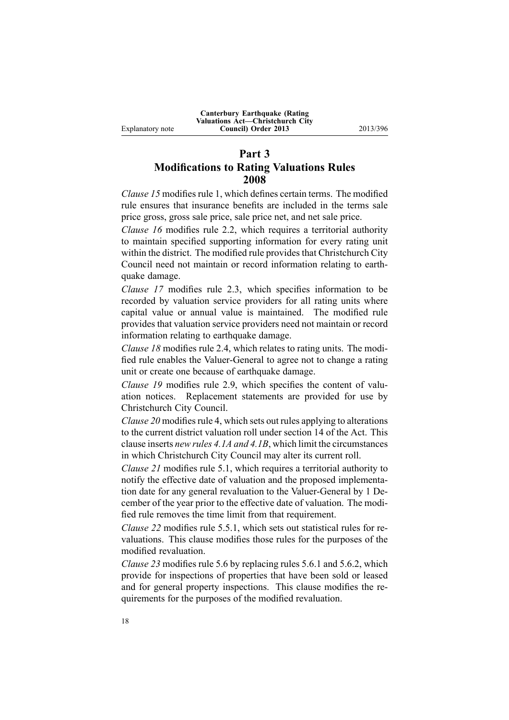# **Part 3 Modifications to Rating Valuations Rules 2008**

*[Clause](#page-6-0) 15* modifies rule 1, which defines certain terms. The modified rule ensures that insurance benefits are included in the terms sale price gross, gross sale price, sale price net, and net sale price.

*[Clause](#page-7-0) 16* modifies rule 2.2, which requires <sup>a</sup> territorial authority to maintain specified supporting information for every rating unit within the district. The modified rule provides that Christchurch City Council need not maintain or record information relating to earthquake damage.

*[Clause](#page-7-0) 17* modifies rule 2.3, which specifies information to be recorded by valuation service providers for all rating units where capital value or annual value is maintained. The modified rule provides that valuation service providers need not maintain or record information relating to earthquake damage.

*[Clause](#page-7-0) 18* modifies rule 2.4, which relates to rating units. The modified rule enables the Valuer-General to agree not to change <sup>a</sup> rating unit or create one because of earthquake damage.

*[Clause](#page-7-0) 19* modifies rule 2.9, which specifies the content of valuation notices. Replacement statements are provided for use by Christchurch City Council.

*[Clause](#page-10-0)* 20 modifies rule 4, which sets out rules applying to alterations to the current district valuation roll under section 14 of the Act. This clause inserts *new rules 4.1A and 4.1B*, which limit the circumstances in which Christchurch City Council may alter its current roll.

*[Clause](#page-10-0) 21* modifies rule 5.1, which requires <sup>a</sup> territorial authority to notify the effective date of valuation and the proposed implementation date for any general revaluation to the Valuer-General by 1 December of the year prior to the effective date of valuation. The modified rule removes the time limit from that requirement.

*[Clause](#page-11-0) 22* modifies rule 5.5.1, which sets out statistical rules for revaluations. This clause modifies those rules for the purposes of the modified revaluation.

*[Clause](#page-11-0) 23* modifies rule 5.6 by replacing rules 5.6.1 and 5.6.2, which provide for inspections of properties that have been sold or leased and for general property inspections. This clause modifies the requirements for the purposes of the modified revaluation.